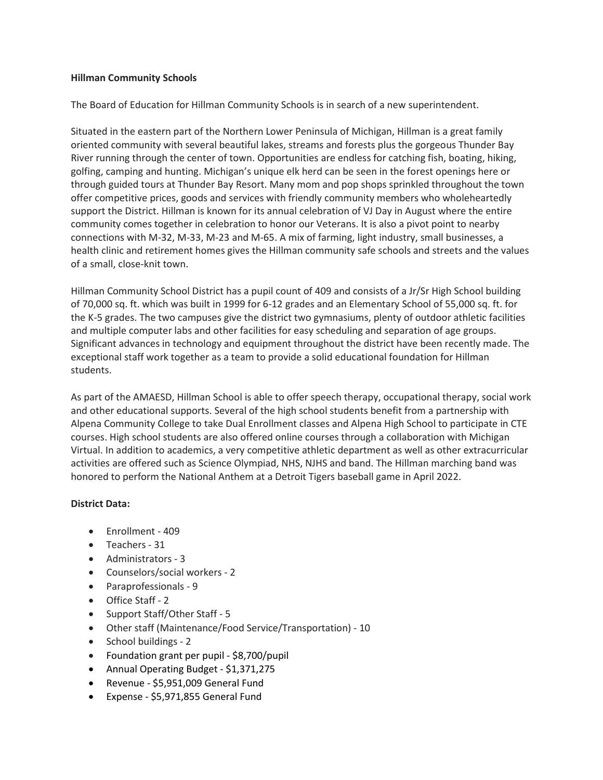## Hillman Community Schools

The Board of Education for Hillman Community Schools is in search of a new superintendent.

Situated in the eastern part of the Northern Lower Peninsula of Michigan, Hillman is a great family oriented community with several beautiful lakes, streams and forests plus the gorgeous Thunder Bay River running through the center of town. Opportunities are endless for catching fish, boating, hiking, golfing, camping and hunting. Michigan's unique elk herd can be seen in the forest openings here or through guided tours at Thunder Bay Resort. Many mom and pop shops sprinkled throughout the town offer competitive prices, goods and services with friendly community members who wholeheartedly support the District. Hillman is known for its annual celebration of VJ Day in August where the entire community comes together in celebration to honor our Veterans. It is also a pivot point to nearby connections with M-32, M-33, M-23 and M-65. A mix of farming, light industry, small businesses, a health clinic and retirement homes gives the Hillman community safe schools and streets and the values of a small, close-knit town.

Hillman Community School District has a pupil count of 409 and consists of a Jr/Sr High School building of 70,000 sq. ft. which was built in 1999 for 6-12 grades and an Elementary School of 55,000 sq. ft. for the K-5 grades. The two campuses give the district two gymnasiums, plenty of outdoor athletic facilities and multiple computer labs and other facilities for easy scheduling and separation of age groups. Significant advances in technology and equipment throughout the district have been recently made. The exceptional staff work together as a team to provide a solid educational foundation for Hillman students.

As part of the AMAESD, Hillman School is able to offer speech therapy, occupational therapy, social work and other educational supports. Several of the high school students benefit from a partnership with Alpena Community College to take Dual Enrollment classes and Alpena High School to participate in CTE courses. High school students are also offered online courses through a collaboration with Michigan Virtual. In addition to academics, a very competitive athletic department as well as other extracurricular activities are offered such as Science Olympiad, NHS, NJHS and band. The Hillman marching band was honored to perform the National Anthem at a Detroit Tigers baseball game in April 2022.

# District Data:

- Enrollment 409
- Teachers 31
- Administrators 3
- Counselors/social workers 2
- Paraprofessionals 9
- Office Staff 2
- Support Staff/Other Staff 5
- Other staff (Maintenance/Food Service/Transportation) 10
- School buildings 2
- Foundation grant per pupil \$8,700/pupil
- Annual Operating Budget \$1,371,275
- Revenue \$5,951,009 General Fund
- Expense \$5,971,855 General Fund